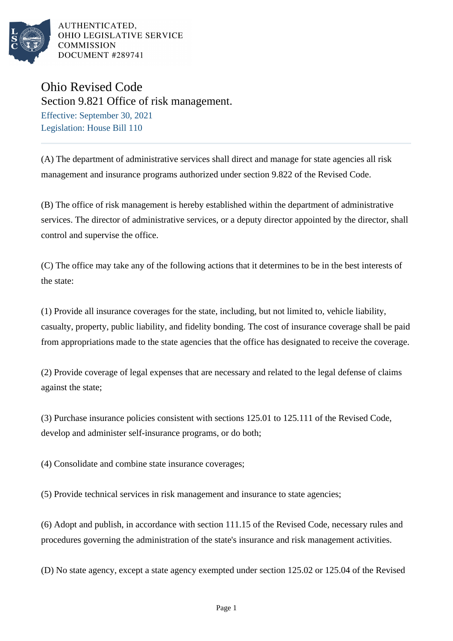

AUTHENTICATED. OHIO LEGISLATIVE SERVICE **COMMISSION** DOCUMENT #289741

## Ohio Revised Code Section 9.821 Office of risk management.

Effective: September 30, 2021 Legislation: House Bill 110

(A) The department of administrative services shall direct and manage for state agencies all risk management and insurance programs authorized under section 9.822 of the Revised Code.

(B) The office of risk management is hereby established within the department of administrative services. The director of administrative services, or a deputy director appointed by the director, shall control and supervise the office.

(C) The office may take any of the following actions that it determines to be in the best interests of the state:

(1) Provide all insurance coverages for the state, including, but not limited to, vehicle liability, casualty, property, public liability, and fidelity bonding. The cost of insurance coverage shall be paid from appropriations made to the state agencies that the office has designated to receive the coverage.

(2) Provide coverage of legal expenses that are necessary and related to the legal defense of claims against the state;

(3) Purchase insurance policies consistent with sections 125.01 to 125.111 of the Revised Code, develop and administer self-insurance programs, or do both;

(4) Consolidate and combine state insurance coverages;

(5) Provide technical services in risk management and insurance to state agencies;

(6) Adopt and publish, in accordance with section 111.15 of the Revised Code, necessary rules and procedures governing the administration of the state's insurance and risk management activities.

(D) No state agency, except a state agency exempted under section 125.02 or 125.04 of the Revised